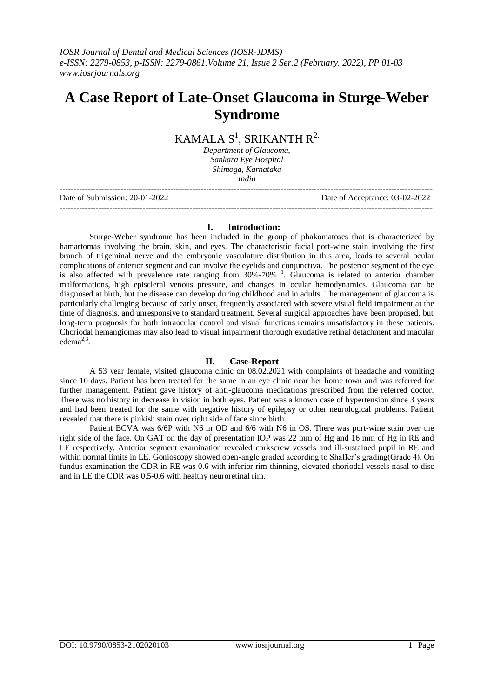# **A Case Report of Late-Onset Glaucoma in Sturge-Weber Syndrome**

# KAMALA  $\text{S}^1$ , SRIKANTH R<sup>2.</sup>

*Department of Glaucoma, Sankara Eye Hospital Shimoga, Karnataka India*

--------------------------------------------------------------------------------------------------------------------------------------- Date of Submission: 20-01-2022 Date of Acceptance: 03-02-2022

---------------------------------------------------------------------------------------------------------------------------------------

#### **I. Introduction:**

Sturge-Weber syndrome has been included in the group of phakomatoses that is characterized by hamartomas involving the brain, skin, and eyes. The characteristic facial port-wine stain involving the first branch of trigeminal nerve and the embryonic vasculature distribution in this area, leads to several ocular complications of anterior segment and can involve the eyelids and conjunctiva. The posterior segment of the eye is also affected with prevalence rate ranging from  $30\% -70\%$ <sup>1</sup>. Glaucoma is related to anterior chamber malformations, high episcleral venous pressure, and changes in ocular hemodynamics. Glaucoma can be diagnosed at birth, but the disease can develop during childhood and in adults. The management of glaucoma is particularly challenging because of early onset, frequently associated with severe visual field impairment at the time of diagnosis, and unresponsive to standard treatment. Several surgical approaches have been proposed, but long-term prognosis for both intraocular control and visual functions remains unsatisfactory in these patients. Choriodal hemangiomas may also lead to visual impairment thorough exudative retinal detachment and macular edem $a^{2,3}$ .

## **II. Case-Report**

A 53 year female, visited glaucoma clinic on 08.02.2021 with complaints of headache and vomiting since 10 days. Patient has been treated for the same in an eye clinic near her home town and was referred for further management. Patient gave history of anti-glaucoma medications prescribed from the referred doctor. There was no history in decrease in vision in both eyes. Patient was a known case of hypertension since 3 years and had been treated for the same with negative history of epilepsy or other neurological problems. Patient revealed that there is pinkish stain over right side of face since birth.

Patient BCVA was 6/6P with N6 in OD and 6/6 with N6 in OS. There was port-wine stain over the right side of the face. On GAT on the day of presentation IOP was 22 mm of Hg and 16 mm of Hg in RE and LE respectively. Anterior segment examination revealed corkscrew vessels and ill-sustained pupil in RE and within normal limits in LE. Gonioscopy showed open-angle graded according to Shaffer's grading(Grade 4). On fundus examination the CDR in RE was 0.6 with inferior rim thinning, elevated choriodal vessels nasal to disc and in LE the CDR was 0.5-0.6 with healthy neuroretinal rim.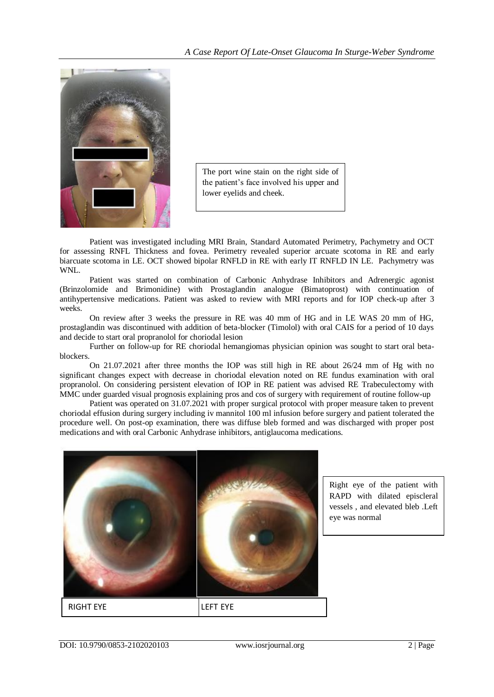

The port wine stain on the right side of the patient's face involved his upper and lower eyelids and cheek.

Patient was investigated including MRI Brain, Standard Automated Perimetry, Pachymetry and OCT for assessing RNFL Thickness and fovea. Perimetry revealed superior arcuate scotoma in RE and early biarcuate scotoma in LE. OCT showed bipolar RNFLD in RE with early IT RNFLD IN LE. Pachymetry was WNL.

Patient was started on combination of Carbonic Anhydrase Inhibitors and Adrenergic agonist (Brinzolomide and Brimonidine) with Prostaglandin analogue (Bimatoprost) with continuation of antihypertensive medications. Patient was asked to review with MRI reports and for IOP check-up after 3 weeks.

On review after 3 weeks the pressure in RE was 40 mm of HG and in LE WAS 20 mm of HG, prostaglandin was discontinued with addition of beta-blocker (Timolol) with oral CAIS for a period of 10 days and decide to start oral propranolol for choriodal lesion

Further on follow-up for RE choriodal hemangiomas physician opinion was sought to start oral betablockers.

On 21.07.2021 after three months the IOP was still high in RE about 26/24 mm of Hg with no significant changes expect with decrease in choriodal elevation noted on RE fundus examination with oral propranolol. On considering persistent elevation of IOP in RE patient was advised RE Trabeculectomy with MMC under guarded visual prognosis explaining pros and cos of surgery with requirement of routine follow-up

Patient was operated on 31.07.2021 with proper surgical protocol with proper measure taken to prevent choriodal effusion during surgery including iv mannitol 100 ml infusion before surgery and patient tolerated the procedure well. On post-op examination, there was diffuse bleb formed and was discharged with proper post medications and with oral Carbonic Anhydrase inhibitors, antiglaucoma medications.



Right eye of the patient with RAPD with dilated episcleral vessels , and elevated bleb .Left eye was normal